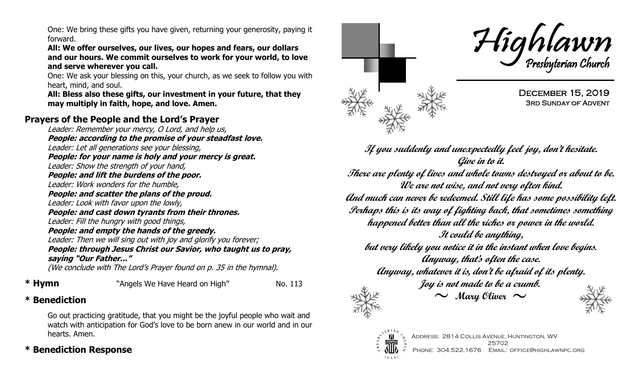One: We bring these gifts you have given, returning your generosity, paying it forward.

**All: We offer ourselves, our lives, our hopes and fears, our dollars and our hours. We commit ourselves to work for your world, to love and serve wherever you call.**

One: We ask your blessing on this, your church, as we seek to follow you with heart, mind, and soul.

**All: Bless also these gifts, our investment in your future, that they may multiply in faith, hope, and love. Amen.**

# **Prayers of the People and the Lord's Prayer**

Leader: Remember your mercy, O Lord, and help us, **People: according to the promise of your steadfast love.** Leader: Let all generations see your blessing, **People: for your name is holy and your mercy is great.** Leader: Show the strength of your hand, **People: and lift the burdens of the poor.** Leader: Work wonders for the humble, **People: and scatter the plans of the proud.** Leader: Look with favor upon the lowly, **People: and cast down tyrants from their thrones.** Leader: Fill the hungry with good things, **People: and empty the hands of the greedy.** Leader: Then we will sing out with joy and glorify you forever; **People: through Jesus Christ our Savior, who taught us to pray, saying "Our Father..."** (We conclude with The Lord's Prayer found on p. 35 in the hymnal).

**\* Hymn** "Angels We Have Heard on High" No. 113

# **\* Benediction**

Go out practicing gratitude, that you might be the joyful people who wait and watch with anticipation for God's love to be born anew in our world and in our hearts. Amen.

# **\* Benediction Response**



**If you suddenly and unexpectedly feel joy, don't hesitate. Give in to it. There are plenty of lives and whole towns destroyed or about to be. We are not wise, and not very often kind. And much can never be redeemed. Still life has some possibility left. Perhaps this is its way of fighting back, that sometimes something happened better than all the riches or power in the world. It could be anything, but very likely you notice it in the instant when love begins. Anyway, that's often the case. Anyway, whatever it is, don't be afraid of its plenty. Joy is not made to be a crumb.**  $\sim$  Mary Oliver  $\sim$ 



Address: 2814 Collis Avenue, Huntington, WV 25702 Phone: 304.522.1676 Email: office@highlawnpc.org